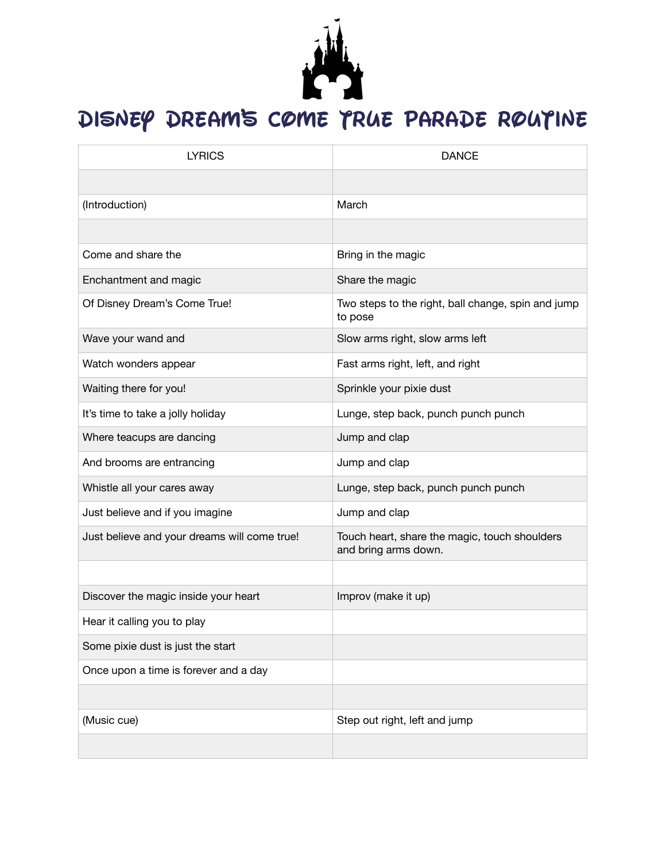

## DISNEY DREAM'S COME TRUE PARADE ROUTINE

| <b>LYRICS</b>                                | <b>DANCE</b>                                                          |
|----------------------------------------------|-----------------------------------------------------------------------|
|                                              |                                                                       |
| (Introduction)                               | March                                                                 |
|                                              |                                                                       |
| Come and share the                           | Bring in the magic                                                    |
| Enchantment and magic                        | Share the magic                                                       |
| Of Disney Dream's Come True!                 | Two steps to the right, ball change, spin and jump<br>to pose         |
| Wave your wand and                           | Slow arms right, slow arms left                                       |
| Watch wonders appear                         | Fast arms right, left, and right                                      |
| Waiting there for you!                       | Sprinkle your pixie dust                                              |
| It's time to take a jolly holiday            | Lunge, step back, punch punch punch                                   |
| Where teacups are dancing                    | Jump and clap                                                         |
| And brooms are entrancing                    | Jump and clap                                                         |
| Whistle all your cares away                  | Lunge, step back, punch punch punch                                   |
| Just believe and if you imagine              | Jump and clap                                                         |
| Just believe and your dreams will come true! | Touch heart, share the magic, touch shoulders<br>and bring arms down. |
|                                              |                                                                       |
| Discover the magic inside your heart         | Improv (make it up)                                                   |
| Hear it calling you to play                  |                                                                       |
| Some pixie dust is just the start            |                                                                       |
| Once upon a time is forever and a day        |                                                                       |
|                                              |                                                                       |
| (Music cue)                                  | Step out right, left and jump                                         |
|                                              |                                                                       |